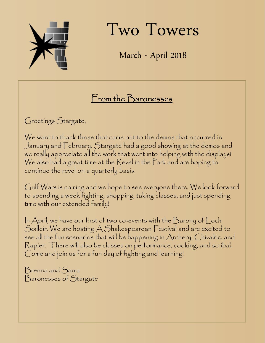

Two Towers

March - April 2018

## From the Baronesses

Greetings Stargate,

We want to thank those that came out to the demos that occurred in January and February. Stargate had a good showing at the demos and we really appreciate all the work that went into helping with the displays! We also had a great time at the Revel in the Park and are hoping to continue the revel on a quarterly basis.

Gulf Wars is coming and we hope to see everyone there. We look forward to spending a week fighting, shopping, taking classes, and just spending time with our extended family!

In April, we have our first of two co-events with the Barony of Loch Soilleir. We are hosting A Shakespearean Festival and are excited to see all the fun scenarios that will be happening in Archery, Chivalric, and Rapier. There will also be classes on performance, cooking, and scribal. Come and join us for a fun day of fighting and learning!

Brenna and Sarra Baronesses of Stargate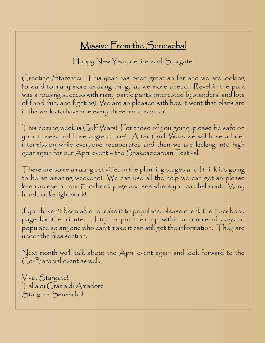## Missive From the Seneschal

Happy New Year, denizens of Stargate!

Greeting Stargate! This year has been great so far and we are looking forward to many more amazing things as we move ahead. Revel in the park was a rousing success with many participants, interested bystanders, and lots of food, fun, and fighting! We are so pleased with how it went that plans are in the works to have one every three months or so.

This coming week is Gulf Wars! For those of you going, please be safe on your travels and have a great time! After Gulf Wars we will have a brief intermission while everyone recuperates and then we are kicking into high gear again for our April event – the Shakespearean Festival.

There are some amazing activities in the planning stages and  $|$  think it's going to be an amazing weekend! We can use all the help we can get so please keep an eye on our Facebook page and see where you can help out. Many hands make light work!

If you haven't been able to make it to populace, please check the Facebook page for the minutes. I try to put them up within a couple of days of populace so anyone who can't make it can still get the information. They are under the files section.

Next month we'll talk about the April event again and look forward to the Co-Baronial event as well.

Vivat Stargate! Talia di Grazia di Amadore Stargate Seneschal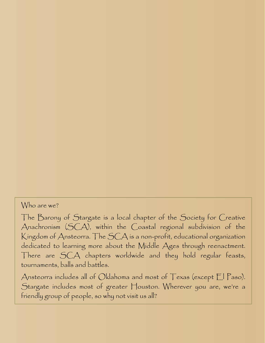#### Who are we?

The Barony of Stargate is a local chapter of the Society for Creative Anachronism (SCA), within the Coastal regional subdivision of the Kingdom of Ansteorra. The SCA is a non-profit, educational organization dedicated to learning more about the Middle Ages through reenactment. There are SCA chapters worldwide and they hold regular feasts, tournaments, balls and battles.

Ansteorra includes all of Oklahoma and most of Texas (except  $E$  Paso). Stargate includes most of greater Houston. Wherever you are, we're a friendly group of people, so why not visit us all?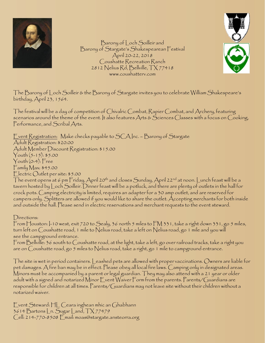



Barony of Loch Soilleir and Barony of Stargate's Shakespearean Festival April 20-22, 2018 Coushatte Recreation Ranch 2812 Nelius Rd, Bellville, TX 77418 www.coushatterv.com

The Barony of Loch Soilleir & the Barony of Stargate invites you to celebrate William Shakespeare's birthday, April 23, 1564.

The festival will be a day of competition of Chivalric Combat, Rapier Combat, and Archery, featuring scenarios around the theme of the event. It also features Arts & Sciences Classes with a focus on Cooking, Performance, and Scribal Arts.

Event Registration: Make checks payable to SCA Inc. – Barony of Stargate Adult Registration: \$20.00 Adult Member Discount Registration: \$15.00 Youth (5-15): \$5.00 Youth (0-4): Free Family Max: \$45.00 Electric Outlet per site: \$5.00 The event opens at 6 pm Friday, April 20<sup>th</sup> and closes Sunday, April 22<sup>nd</sup> at noon. Lunch feast will be a tavern hosted by Loch Soilleir. Dinner feast will be a potluck, and there are plenty of outlets in the hall for

crock pots. Camping electricity is limited, requires an adapter for a 30 amp outlet, and are reserved for campers only. Splitters are allowed if you would like to share the outlet. Accepting merchants for both inside and outside the hall. Please send in electric reservations and merchant requests to the event steward.

Directions:

From Houston:  $-10$  west, exit 720 to Sealy, 36 north 5 miles to  $FM$  331, take a right down 331, go 5 miles, turn left on Coushatte road, 1 mile to Nelius road, take a left on Nelius road, go 1 mile and you will see the campground entrance.

From Bellville: 36 south to Coushatte road, at the light, take a left, go over railroad tracks, take a right you are on Coushatte road, go 5 miles to Nelius road, take a right, go 1 mile to campground entrance.

The site is wet in period containers. Leashed pets are allowed with proper vaccinations. Owners are liable for pet damages. A fire ban may be in effect. Please obey all local fire laws. Camping only in designated areas. Minors must be accompanied by a parent or legal guardian. They may also attend with a 21 year or older adult with a signed and notarized Minor Event Waiver Form from the parents. Parents/Guardians are responsible for children at all times. Parents/Guardians may not leave site without their children without a notarized waiver.

Event Steward: HL Ceara inghean mhic an Ghabhann 3614 Bartons Ln. Sugar Land, TX 77479 Cell: 214-770-8508 Email: moas@stargate.ansteorra.org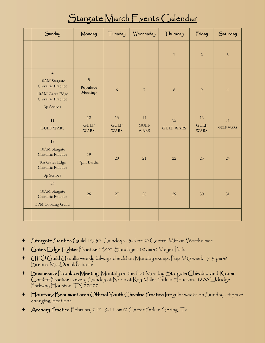## Stargate March Events Calendar

| Sunday                                                                                                                | Monday                                   | Tuesday                          | Wednesday                        | Thursday               | Friday                           | Saturday               |
|-----------------------------------------------------------------------------------------------------------------------|------------------------------------------|----------------------------------|----------------------------------|------------------------|----------------------------------|------------------------|
|                                                                                                                       |                                          |                                  |                                  | $\mathbf{1}$           | $\overline{2}$                   | $\mathfrak{Z}$         |
| $\overline{\mathbf{4}}$<br>10AM Stargate<br>Chivalric Practice<br>10AM Gates Edge<br>Chivalric Practice<br>3p Scribes | $\sqrt{5}$<br>Populace<br><b>Meeting</b> | 6                                | $\overline{\mathcal{I}}$         | $\,8\,$                | 9                                | $10\,$                 |
| 11<br><b>GULF WARS</b>                                                                                                | 12<br><b>GULF</b><br><b>WARS</b>         | 13<br><b>GULF</b><br><b>WARS</b> | 14<br><b>GULF</b><br><b>WARS</b> | 15<br><b>GULF WARS</b> | 16<br><b>GULF</b><br><b>WARS</b> | 17<br><b>GULF WARS</b> |
| 18<br>10AM Stargate<br>Chivalric Practice<br>10a Gates Edge<br>Chivalric Practice<br>3p Scribes                       | 19<br>7pm Bardic                         | 20                               | 21                               | 22                     | 23                               | 24                     |
| 25<br>10AM Stargate<br>Chivalric Practice<br>3PM Cooking Guild                                                        | 26                                       | 27                               | 28                               | 29                     | 30                               | 31                     |
|                                                                                                                       |                                          |                                  |                                  |                        |                                  |                        |

- + Stargate Scribes Guild 1st/3rd Sundays 3-6 pm @ Central Mkt on Westheimer
- + Gates Edge Fighter Practice 1st/3rd Sundays 10 am @ Meyer Park
- +  $UFOG$ uild (Jsually weekly (always check) on Monday except Pop Mtg week 7-9 pm @ Brenna MacDonald's home
- + Business & Populace Meeting Monthly on the first Monday Stargate Chivalric and Rapier Combat Practice is every Sunday at Noon at Ray Miller Park in Houston. 1800 Eldridge Parkway Houston, TX 77077
- + Houston/Beaumont area Official Youth Chivalric Practice Irregular weeks on Sunday 4 pm @ changing locations
- $\triangleq$  Archery Practice February 24<sup>th</sup>, 9-11 am @ Carter Park in Spring, Tx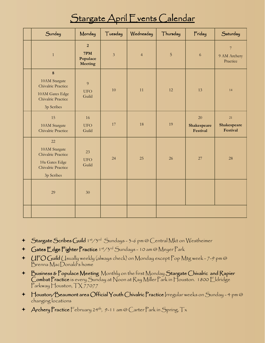## Stargate April Events Calendar

| Sunday                                                                                                | Monday                                              | Tuesday        | Wednesday      | Thursday       | Friday                        | Saturday                                   |
|-------------------------------------------------------------------------------------------------------|-----------------------------------------------------|----------------|----------------|----------------|-------------------------------|--------------------------------------------|
| $\mathbf{1}$                                                                                          | $\overline{2}$<br>7PM<br>Populace<br><b>Meeting</b> | $\mathfrak{Z}$ | $\overline{4}$ | $\overline{5}$ | $\sqrt{6}$                    | $\overline{7}$<br>9 AM Archery<br>Practice |
| $\bf 8$<br>10AM Stargate<br>Chivalric Practice<br>10AM Gates Edge<br>Chivalric Practice<br>3p Scribes | 9<br><b>UFO</b><br>Guild                            | 10             | 11             | 12             | 13                            | 14                                         |
| 15<br>10AM Stargate<br>Chivalric Practice                                                             | 16<br><b>UFO</b><br>Guild                           | $17\,$         | 18             | 19             | 20<br>Shakespeare<br>Festival | 21<br>Shakespeare<br>Festival              |
| 22<br>10AM Stargate<br>Chivalric Practice<br>10a Gates Edge<br>Chivalric Practice<br>3p Scribes       | 23<br><b>UFO</b><br>Guild                           | 24             | 25             | 26             | 27                            | 28                                         |
| 29                                                                                                    | 30                                                  |                |                |                |                               |                                            |
|                                                                                                       |                                                     |                |                |                |                               |                                            |

- + Stargate Scribes Guild 1st/3rd Sundays 3-6 pm @ Central Mkt on Westheimer
- + Gates Edge Fighter Practice 1st/3rd Sundays 10 am @ Meyer Park
- +  $UFOG$ uild (Jsually weekly (always check) on Monday except Pop Mtg week 7-9 pm @ Brenna MacDonald's home
- + Business & Populace Meeting Monthly on the first Monday Stargate Chivalric and Rapier Combat Practice is every Sunday at Noon at Ray Miller Park in Houston. 1800 Eldridge Parkway Houston, TX 77077
- + Houston/Beaumont area Official Youth Chivalric Practice Irregular weeks on Sunday 4 pm @ changing locations
- $\triangleq$  Archery Practice February 24<sup>th</sup>, 9-11 am @ Carter Park in Spring, Tx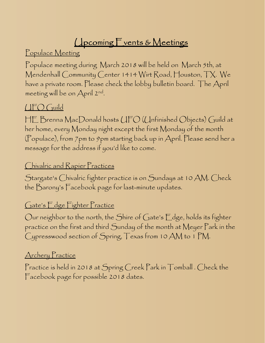# **Upcoming Fvents & Meetings**

Populace Meeting

Populace meeting during March 2018 will be held on March 5th, at Mendenhall Community Center 1414 Wirt Road, Houston, TX. We have a private room. Please check the lobby bulletin board. The April meeting will be on April 2nd .

### UFO Guild

HE Brenna MacDonald hosts UFO (Unfinished Objects) Guild at her home, every Monday night except the first Monday of the month (Populace), from 7pm to 9pm starting back up in April. Please send her a message for the address if you'd like to come.

#### Chivalric and Rapier Practices

Stargate's Chivalric fighter practice is on Sundays at 10 AM. Check the Barony's Facebook page for last-minute updates.

#### Gate's Edge Fighter Practice

Our neighbor to the north, the Shire of Gate's Edge, holds its fighter practice on the first and third Sunday of the month at Meyer Park in the Cypresswood section of Spring, Texas from 10 AM to 1 PM.

#### Archery Practice

Practice is held in 2018 at Spring Creek Park in Tomball . Check the Facebook page for possible 2018 dates.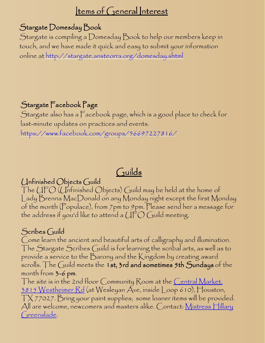### Items of General Interest

#### Stargate Domesday Book

Stargate is compiling a Domesday Book to help our members keep in touch, and we have made it quick and easy to submit your information online at http://stargate.ansteorra.org/domesday.shtml

### Stargate Facebook Page

Stargate also has a Facebook page, which is a good place to check for last-minute updates on practices and events. https://www.facebook.com/groups/56697227816/

## Guilds

#### Unfinished Objects Guild

The UFO (Unfinished Objects) Guild may be held at the home of Lady Brenna MacDonald on any Monday night except the first Monday of the month (Populace), from 7pm to 9pm. Please send her a message for the address if you'd like to attend a  $\mathcal{U} \mathsf{FO} \mathcal{G}$  uild meeting.

#### $S$ cribes  $G$ uild

Come learn the ancient and beautiful arts of calligraphy and illumination. The Stargate Scribes Guild is for learning the scribal arts, as well as to provide a service to the Barony and the Kingdom by creating award scrolls. The Guild meets the 1st, 3rd and sometimes 5th Sundays of the month from 3-6 pm.

The site is in the 2nd floor Community Room at the <u>Central Market</u>, 3815 Westheimer Rd (at Wesleyan Ave, inside Loop 610), Houston, TX 77027. Bring your paint supplies; some loaner items will be provided. All are welcome, newcomers and masters alike. Contact:  $M$ istress  $\Box$ illary Greenslade.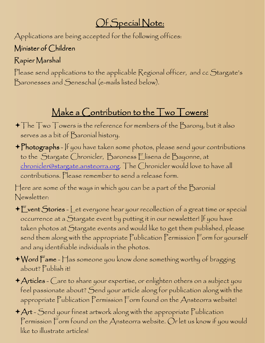## Of Special Note:

Applications are being accepted for the following offices:

### Minister of Children

### Rapier Marshal

Please send applications to the applicable Regional officer, and cc Stargate's Baronesses and Seneschal (e-mails listed below).

## Make a Contribution to the Two Towers!

- $\bigstar$  The Two Towers is the reference for members of the Barony, but it also serves as a bit of Baronial history.
- + Photographs If you have taken some photos, please send your contributions to the Stargate Chronicler, Baroness Elisena de Bayonne, at chronicler@stargate.ansteorra.org. The Chronicler would love to have all contributions. Please remember to send a release form.

Here are some of the ways in which you can be a part of the Baronial Newsletter:

- $\bigstar$  Event Stories Let everyone hear your recollection of a great time or special occurrence at a Stargate event by putting it in our newsletter! If you have taken photos at Stargate events and would like to get them published, please send them along with the appropriate Publication Permission Form for yourself and any identifiable individuals in the photos.
- $\blacklozenge$  Word  $\mathsf F$ ame  $\mathsf H$ as someone you know done something worthy of bragging about? Publish it!
- + Articles Care to share your expertise, or enlighten others on a subject you feel passionate about? Send your article along for publication along with the appropriate Publication Permission Form found on the Ansteorra website!
- $+A$ rt Send your finest artwork along with the appropriate Publication Permission Form found on the Ansteorra website. Or let us know if you would like to illustrate articles!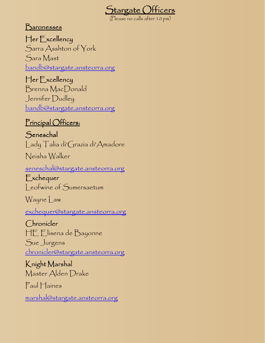

(Please no calls after 10 pm)

**Baronesses** 

Her Excellency Sarra Asshton of York Sara Mast bandb@stargate.ansteorra.org

Her Excellency Brenna MacDonald Jennifer Dudley bandb@stargate.ansteorra.org

#### Principal Officers:

Seneschal Lady Talia di'Grazia di'Amadore

Neisha Walker

seneschal@stargate.ansteorra.org

Exchequer Leofwine of Sumersaetum

Wayne Law

exchequer@stargate.ansteorra.org

Chronicler HE Elisena de Bayonne Sue Jurgens chronicler@stargate.ansteorra.org

Knight Marshal Master Alden Drake

Paul Haines

marshal@stargate.ansteorra.org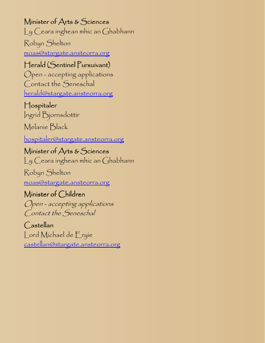Minister of Arts & Sciences

Ly Ceara inghean mhic an Ghabhann

Robyn Shelton moas@stargate.ansteorra.org

#### Herald (Sentinel Pursuivant)

Open - accepting applications Contact the Seneschal herald@stargate.ansteorra.org

#### Hospitaler

Ingrid Bjornsdottir

Melanie Black

hospitaler@stargate.ansteorra.org

Minister of Arts & Sciences Ly Ceara inghean mhic an Ghabhann

Robyn Shelton moas@stargate.ansteorra.org

### Minister of Children

Open - accepting applications Contact the Seneschal

Castellan Lord Michael de Eryie castellan@stargate.ansteorra.org